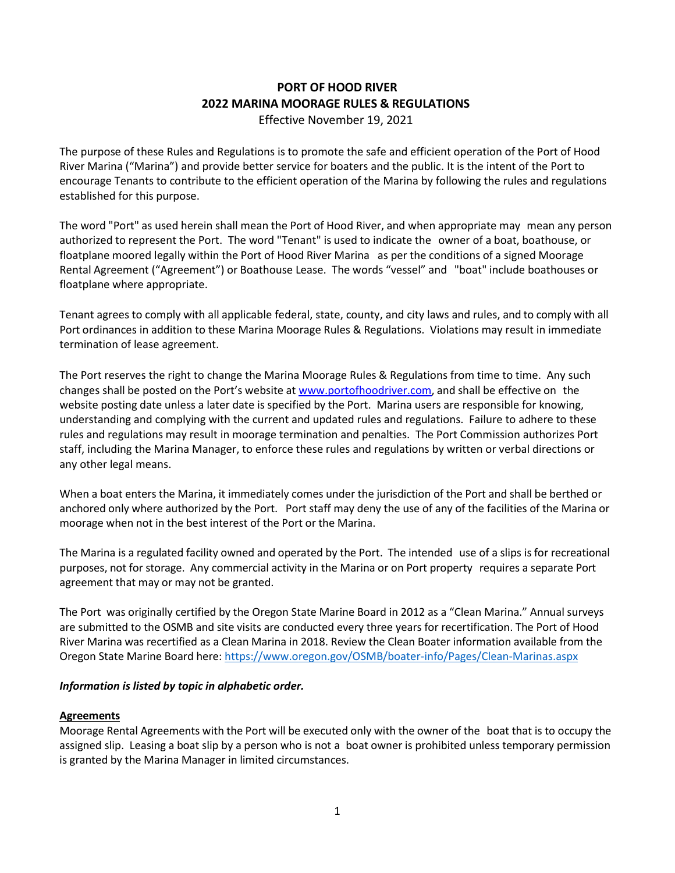# **PORT OF HOOD RIVER 2022 MARINA MOORAGE RULES & REGULATIONS** Effective November 19, 2021

The purpose of these Rules and Regulations is to promote the safe and efficient operation of the Port of Hood River Marina ("Marina") and provide better service for boaters and the public. It is the intent of the Port to encourage Tenants to contribute to the efficient operation of the Marina by following the rules and regulations established for this purpose.

The word "Port" as used herein shall mean the Port of Hood River, and when appropriate may mean any person authorized to represent the Port. The word "Tenant" is used to indicate the owner of a boat, boathouse, or floatplane moored legally within the Port of Hood River Marina as per the conditions of a signed Moorage Rental Agreement ("Agreement") or Boathouse Lease. The words "vessel" and "boat" include boathouses or floatplane where appropriate.

Tenant agrees to comply with all applicable federal, state, county, and city laws and rules, and to comply with all Port ordinances in addition to these Marina Moorage Rules & Regulations. Violations may result in immediate termination of lease agreement.

The Port reserves the right to change the Marina Moorage Rules & Regulations from time to time. Any such changes shall be posted on the Port's website at [www.portofhoodriver.com,](http://www.portofhoodriver.com/) and shall be effective on the website posting date unless a later date is specified by the Port. Marina users are responsible for knowing, understanding and complying with the current and updated rules and regulations. Failure to adhere to these rules and regulations may result in moorage termination and penalties. The Port Commission authorizes Port staff, including the Marina Manager, to enforce these rules and regulations by written or verbal directions or any other legal means.

When a boat enters the Marina, it immediately comes under the jurisdiction of the Port and shall be berthed or anchored only where authorized by the Port. Port staff may deny the use of any of the facilities of the Marina or moorage when not in the best interest of the Port or the Marina.

The Marina is a regulated facility owned and operated by the Port. The intended use of a slips is for recreational purposes, not for storage. Any commercial activity in the Marina or on Port property requires a separate Port agreement that may or may not be granted.

The Port was originally certified by the Oregon State Marine Board in 2012 as a "Clean Marina." Annual surveys are submitted to the OSMB and site visits are conducted every three years for recertification. The Port of Hood River Marina was recertified as a Clean Marina in 2018. Review the Clean Boater information available from the Oregon State Marine Board here: <https://www.oregon.gov/OSMB/boater-info/Pages/Clean-Marinas.aspx>

### *Information is listed by topic in alphabetic order.*

### **Agreements**

Moorage Rental Agreements with the Port will be executed only with the owner of the boat that is to occupy the assigned slip. Leasing a boat slip by a person who is not a boat owner is prohibited unless temporary permission is granted by the Marina Manager in limited circumstances.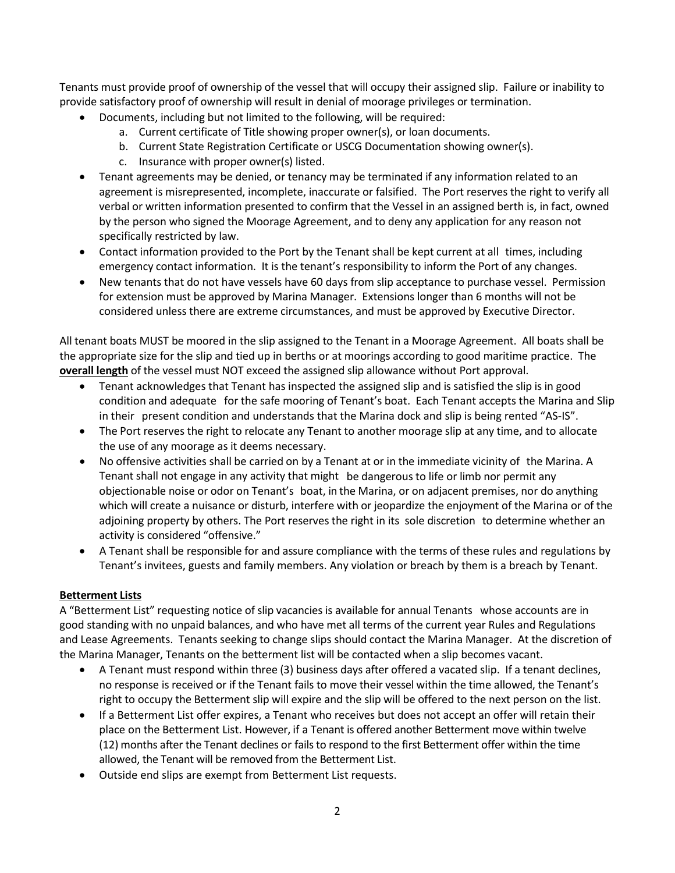Tenants must provide proof of ownership of the vessel that will occupy their assigned slip. Failure or inability to provide satisfactory proof of ownership will result in denial of moorage privileges or termination.

- Documents, including but not limited to the following, will be required:
	- a. Current certificate of Title showing proper owner(s), or loan documents.
	- b. Current State Registration Certificate or USCG Documentation showing owner(s).
	- c. Insurance with proper owner(s) listed.
- Tenant agreements may be denied, or tenancy may be terminated if any information related to an agreement is misrepresented, incomplete, inaccurate or falsified. The Port reserves the right to verify all verbal or written information presented to confirm that the Vessel in an assigned berth is, in fact, owned by the person who signed the Moorage Agreement, and to deny any application for any reason not specifically restricted by law.
- Contact information provided to the Port by the Tenant shall be kept current at all times, including emergency contact information. It is the tenant's responsibility to inform the Port of any changes.
- New tenants that do not have vessels have 60 days from slip acceptance to purchase vessel. Permission for extension must be approved by Marina Manager. Extensions longer than 6 months will not be considered unless there are extreme circumstances, and must be approved by Executive Director.

All tenant boats MUST be moored in the slip assigned to the Tenant in a Moorage Agreement. All boats shall be the appropriate size for the slip and tied up in berths or at moorings according to good maritime practice. The **overall length** of the vessel must NOT exceed the assigned slip allowance without Port approval.

- Tenant acknowledges that Tenant has inspected the assigned slip and is satisfied the slip is in good condition and adequate for the safe mooring of Tenant's boat. Each Tenant accepts the Marina and Slip in their present condition and understands that the Marina dock and slip is being rented "AS-IS".
- The Port reserves the right to relocate any Tenant to another moorage slip at any time, and to allocate the use of any moorage as it deems necessary.
- No offensive activities shall be carried on by a Tenant at or in the immediate vicinity of the Marina. A Tenant shall not engage in any activity that might be dangerous to life or limb nor permit any objectionable noise or odor on Tenant's boat, in the Marina, or on adjacent premises, nor do anything which will create a nuisance or disturb, interfere with or jeopardize the enjoyment of the Marina or of the adjoining property by others. The Port reserves the right in its sole discretion to determine whether an activity is considered "offensive."
- A Tenant shall be responsible for and assure compliance with the terms of these rules and regulations by Tenant's invitees, guests and family members. Any violation or breach by them is a breach by Tenant.

### **Betterment Lists**

A "Betterment List" requesting notice of slip vacancies is available for annual Tenants whose accounts are in good standing with no unpaid balances, and who have met all terms of the current year Rules and Regulations and Lease Agreements. Tenants seeking to change slips should contact the Marina Manager. At the discretion of the Marina Manager, Tenants on the betterment list will be contacted when a slip becomes vacant.

- A Tenant must respond within three (3) business days after offered a vacated slip. If a tenant declines, no response is received or if the Tenant fails to move their vessel within the time allowed, the Tenant's right to occupy the Betterment slip will expire and the slip will be offered to the next person on the list.
- If a Betterment List offer expires, a Tenant who receives but does not accept an offer will retain their place on the Betterment List. However, if a Tenant is offered another Betterment move within twelve (12) months after the Tenant declines or fails to respond to the first Betterment offer within the time allowed, the Tenant will be removed from the Betterment List.
- Outside end slips are exempt from Betterment List requests.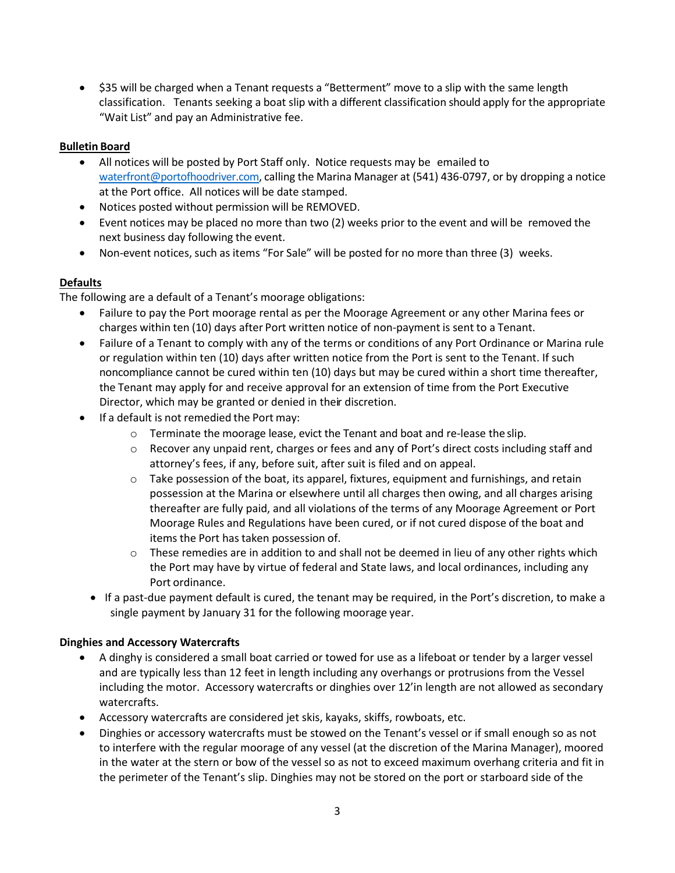• \$35 will be charged when a Tenant requests a "Betterment" move to a slip with the same length classification. Tenants seeking a boat slip with a different classification should apply for the appropriate "Wait List" and pay an Administrative fee.

## **Bulletin Board**

- All notices will be posted by Port Staff only. Notice requests may be emailed to [waterfront@portofhoodriver.com,](mailto:waterfront@portofhoodriver.com) calling the Marina Manager at (541) 436-0797, or by dropping a notice at the Port office. All notices will be date stamped.
- Notices posted without permission will be REMOVED.
- Event notices may be placed no more than two (2) weeks prior to the event and will be removed the next business day following the event.
- Non-event notices, such as items "For Sale" will be posted for no more than three (3) weeks.

## **Defaults**

The following are a default of a Tenant's moorage obligations:

- Failure to pay the Port moorage rental as per the Moorage Agreement or any other Marina fees or charges within ten (10) days after Port written notice of non-payment is sent to a Tenant.
- Failure of a Tenant to comply with any of the terms or conditions of any Port Ordinance or Marina rule or regulation within ten (10) days after written notice from the Port is sent to the Tenant. If such noncompliance cannot be cured within ten (10) days but may be cured within a short time thereafter, the Tenant may apply for and receive approval for an extension of time from the Port Executive Director, which may be granted or denied in their discretion.
- If a default is not remedied the Port may:
	- $\circ$  Terminate the moorage lease, evict the Tenant and boat and re-lease the slip.
	- o Recover any unpaid rent, charges or fees and any of Port's direct costs including staff and attorney's fees, if any, before suit, after suit is filed and on appeal.
	- $\circ$  Take possession of the boat, its apparel, fixtures, equipment and furnishings, and retain possession at the Marina or elsewhere until all charges then owing, and all charges arising thereafter are fully paid, and all violations of the terms of any Moorage Agreement or Port Moorage Rules and Regulations have been cured, or if not cured dispose of the boat and items the Port has taken possession of.
	- $\circ$  These remedies are in addition to and shall not be deemed in lieu of any other rights which the Port may have by virtue of federal and State laws, and local ordinances, including any Port ordinance.
	- If a past-due payment default is cured, the tenant may be required, in the Port's discretion, to make a single payment by January 31 for the following moorage year.

### **Dinghies and Accessory Watercrafts**

- A dinghy is considered a small boat carried or towed for use as a lifeboat or tender by a larger vessel and are typically less than 12 feet in length including any overhangs or protrusions from the Vessel including the motor. Accessory watercrafts or dinghies over 12'in length are not allowed as secondary watercrafts.
- Accessory watercrafts are considered jet skis, kayaks, skiffs, rowboats, etc.
- Dinghies or accessory watercrafts must be stowed on the Tenant's vessel or if small enough so as not to interfere with the regular moorage of any vessel (at the discretion of the Marina Manager), moored in the water at the stern or bow of the vessel so as not to exceed maximum overhang criteria and fit in the perimeter of the Tenant's slip. Dinghies may not be stored on the port or starboard side of the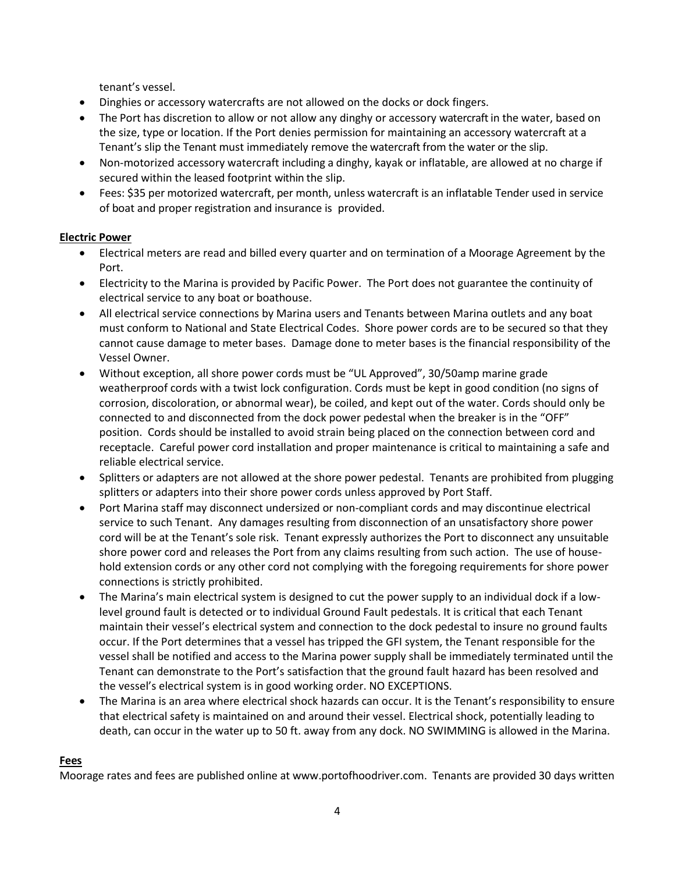tenant's vessel.

- Dinghies or accessory watercrafts are not allowed on the docks or dock fingers.
- The Port has discretion to allow or not allow any dinghy or accessory watercraft in the water, based on the size, type or location. If the Port denies permission for maintaining an accessory watercraft at a Tenant's slip the Tenant must immediately remove the watercraft from the water or the slip.
- Non-motorized accessory watercraft including a dinghy, kayak or inflatable, are allowed at no charge if secured within the leased footprint within the slip.
- Fees: \$35 per motorized watercraft, per month, unless watercraft is an inflatable Tender used in service of boat and proper registration and insurance is provided.

## **Electric Power**

- Electrical meters are read and billed every quarter and on termination of a Moorage Agreement by the Port.
- Electricity to the Marina is provided by Pacific Power. The Port does not guarantee the continuity of electrical service to any boat or boathouse.
- All electrical service connections by Marina users and Tenants between Marina outlets and any boat must conform to National and State Electrical Codes. Shore power cords are to be secured so that they cannot cause damage to meter bases. Damage done to meter bases is the financial responsibility of the Vessel Owner.
- Without exception, all shore power cords must be "UL Approved", 30/50amp marine grade weatherproof cords with a twist lock configuration. Cords must be kept in good condition (no signs of corrosion, discoloration, or abnormal wear), be coiled, and kept out of the water. Cords should only be connected to and disconnected from the dock power pedestal when the breaker is in the "OFF" position. Cords should be installed to avoid strain being placed on the connection between cord and receptacle. Careful power cord installation and proper maintenance is critical to maintaining a safe and reliable electrical service.
- Splitters or adapters are not allowed at the shore power pedestal. Tenants are prohibited from plugging splitters or adapters into their shore power cords unless approved by Port Staff.
- Port Marina staff may disconnect undersized or non-compliant cords and may discontinue electrical service to such Tenant. Any damages resulting from disconnection of an unsatisfactory shore power cord will be at the Tenant's sole risk. Tenant expressly authorizes the Port to disconnect any unsuitable shore power cord and releases the Port from any claims resulting from such action. The use of household extension cords or any other cord not complying with the foregoing requirements for shore power connections is strictly prohibited.
- The Marina's main electrical system is designed to cut the power supply to an individual dock if a lowlevel ground fault is detected or to individual Ground Fault pedestals. It is critical that each Tenant maintain their vessel's electrical system and connection to the dock pedestal to insure no ground faults occur. If the Port determines that a vessel has tripped the GFI system, the Tenant responsible for the vessel shall be notified and access to the Marina power supply shall be immediately terminated until the Tenant can demonstrate to the Port's satisfaction that the ground fault hazard has been resolved and the vessel's electrical system is in good working order. NO EXCEPTIONS.
- The Marina is an area where electrical shock hazards can occur. It is the Tenant's responsibility to ensure that electrical safety is maintained on and around their vessel. Electrical shock, potentially leading to death, can occur in the water up to 50 ft. away from any dock. NO SWIMMING is allowed in the Marina.

### **Fees**

Moorage rates and fees are published online at www.portofhoodriver.com. Tenants are provided 30 days written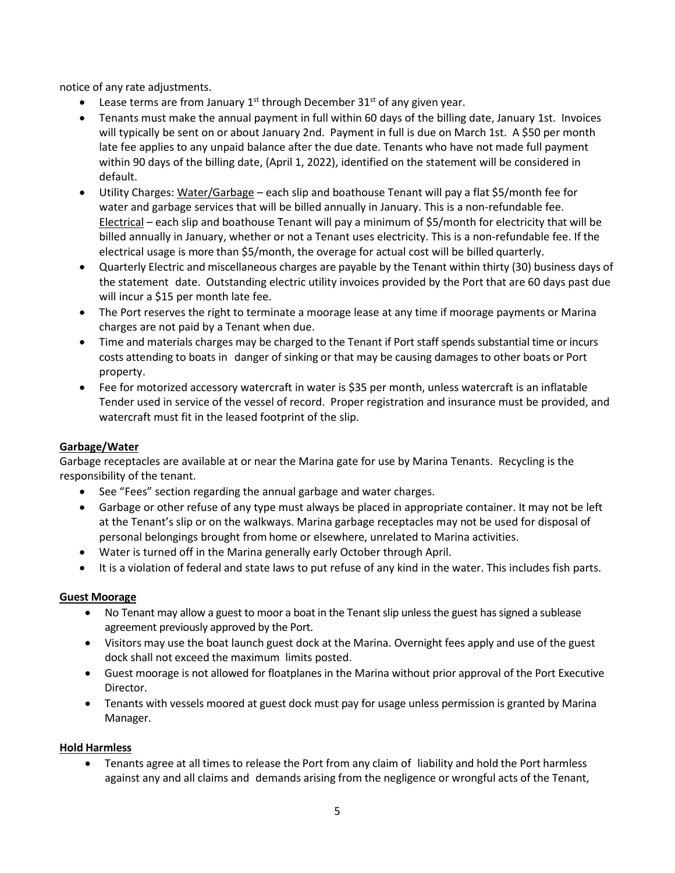notice of any rate adjustments.

- Lease terms are from January  $1<sup>st</sup>$  through December 31 $<sup>st</sup>$  of any given year.</sup>
- Tenants must make the annual payment in full within 60 days of the billing date, January 1st. Invoices will typically be sent on or about January 2nd. Payment in full is due on March 1st. A \$50 per month late fee applies to any unpaid balance after the due date. Tenants who have not made full payment within 90 days of the billing date, (April 1, 2022), identified on the statement will be considered in default.
- Utility Charges: Water/Garbage each slip and boathouse Tenant will pay a flat \$5/month fee for water and garbage services that will be billed annually in January. This is a non-refundable fee. Electrical – each slip and boathouse Tenant will pay a minimum of \$5/month for electricity that will be billed annually in January, whether or not a Tenant uses electricity. This is a non-refundable fee. If the electrical usage is more than \$5/month, the overage for actual cost will be billed quarterly.
- Quarterly Electric and miscellaneous charges are payable by the Tenant within thirty (30) business days of the statement date. Outstanding electric utility invoices provided by the Port that are 60 days past due will incur a \$15 per month late fee.
- The Port reserves the right to terminate a moorage lease at any time if moorage payments or Marina charges are not paid by a Tenant when due.
- Time and materials charges may be charged to the Tenant if Port staff spends substantial time or incurs costs attending to boats in danger of sinking or that may be causing damages to other boats or Port property.
- Fee for motorized accessory watercraft in water is \$35 per month, unless watercraft is an inflatable Tender used in service of the vessel of record. Proper registration and insurance must be provided, and watercraft must fit in the leased footprint of the slip.

# **Garbage/Water**

Garbage receptacles are available at or near the Marina gate for use by Marina Tenants. Recycling is the responsibility of the tenant.

- See "Fees" section regarding the annual garbage and water charges.
- Garbage or other refuse of any type must always be placed in appropriate container. It may not be left at the Tenant's slip or on the walkways. Marina garbage receptacles may not be used for disposal of personal belongings brought from home or elsewhere, unrelated to Marina activities.
- Water is turned off in the Marina generally early October through April.
- It is a violation of federal and state laws to put refuse of any kind in the water. This includes fish parts.

# **Guest Moorage**

- No Tenant may allow a guest to moor a boat in the Tenant slip unless the guest has signed a sublease agreement previously approved by the Port.
- Visitors may use the boat launch guest dock at the Marina. Overnight fees apply and use of the guest dock shall not exceed the maximum limits posted.
- Guest moorage is not allowed for floatplanes in the Marina without prior approval of the Port Executive Director.
- Tenants with vessels moored at guest dock must pay for usage unless permission is granted by Marina Manager.

### **Hold Harmless**

• Tenants agree at all times to release the Port from any claim of liability and hold the Port harmless against any and all claims and demands arising from the negligence or wrongful acts of the Tenant,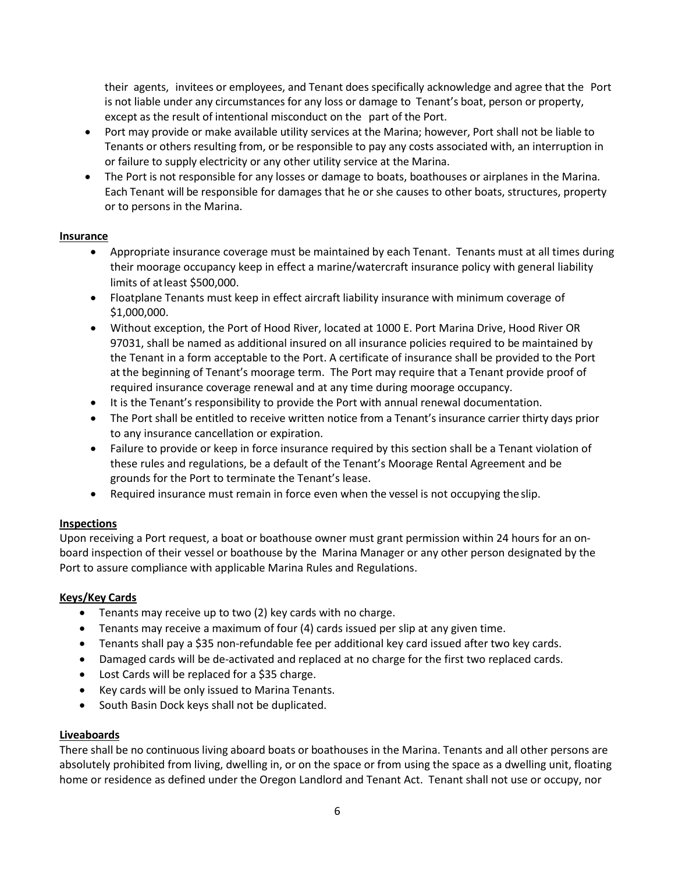their agents, invitees or employees, and Tenant does specifically acknowledge and agree that the Port is not liable under any circumstances for any loss or damage to Tenant's boat, person or property, except as the result of intentional misconduct on the part of the Port.

- Port may provide or make available utility services at the Marina; however, Port shall not be liable to Tenants or others resulting from, or be responsible to pay any costs associated with, an interruption in or failure to supply electricity or any other utility service at the Marina.
- The Port is not responsible for any losses or damage to boats, boathouses or airplanes in the Marina. Each Tenant will be responsible for damages that he or she causes to other boats, structures, property or to persons in the Marina.

### **Insurance**

- Appropriate insurance coverage must be maintained by each Tenant. Tenants must at all times during their moorage occupancy keep in effect a marine/watercraft insurance policy with general liability limits of atleast \$500,000.
- Floatplane Tenants must keep in effect aircraft liability insurance with minimum coverage of \$1,000,000.
- Without exception, the Port of Hood River, located at 1000 E. Port Marina Drive, Hood River OR 97031, shall be named as additional insured on all insurance policies required to be maintained by the Tenant in a form acceptable to the Port. A certificate of insurance shall be provided to the Port at the beginning of Tenant's moorage term. The Port may require that a Tenant provide proof of required insurance coverage renewal and at any time during moorage occupancy.
- It is the Tenant's responsibility to provide the Port with annual renewal documentation.
- The Port shall be entitled to receive written notice from a Tenant's insurance carrier thirty days prior to any insurance cancellation or expiration.
- Failure to provide or keep in force insurance required by this section shall be a Tenant violation of these rules and regulations, be a default of the Tenant's Moorage Rental Agreement and be grounds for the Port to terminate the Tenant's lease.
- Required insurance must remain in force even when the vessel is not occupying the slip.

### **Inspections**

Upon receiving a Port request, a boat or boathouse owner must grant permission within 24 hours for an onboard inspection of their vessel or boathouse by the Marina Manager or any other person designated by the Port to assure compliance with applicable Marina Rules and Regulations.

### **Keys/Key Cards**

- Tenants may receive up to two (2) key cards with no charge.
- Tenants may receive a maximum of four (4) cards issued per slip at any given time.
- Tenants shall pay a \$35 non-refundable fee per additional key card issued after two key cards.
- Damaged cards will be de-activated and replaced at no charge for the first two replaced cards.
- Lost Cards will be replaced for a \$35 charge.
- Key cards will be only issued to Marina Tenants.
- South Basin Dock keys shall not be duplicated.

### **Liveaboards**

There shall be no continuous living aboard boats or boathouses in the Marina. Tenants and all other persons are absolutely prohibited from living, dwelling in, or on the space or from using the space as a dwelling unit, floating home or residence as defined under the Oregon Landlord and Tenant Act. Tenant shall not use or occupy, nor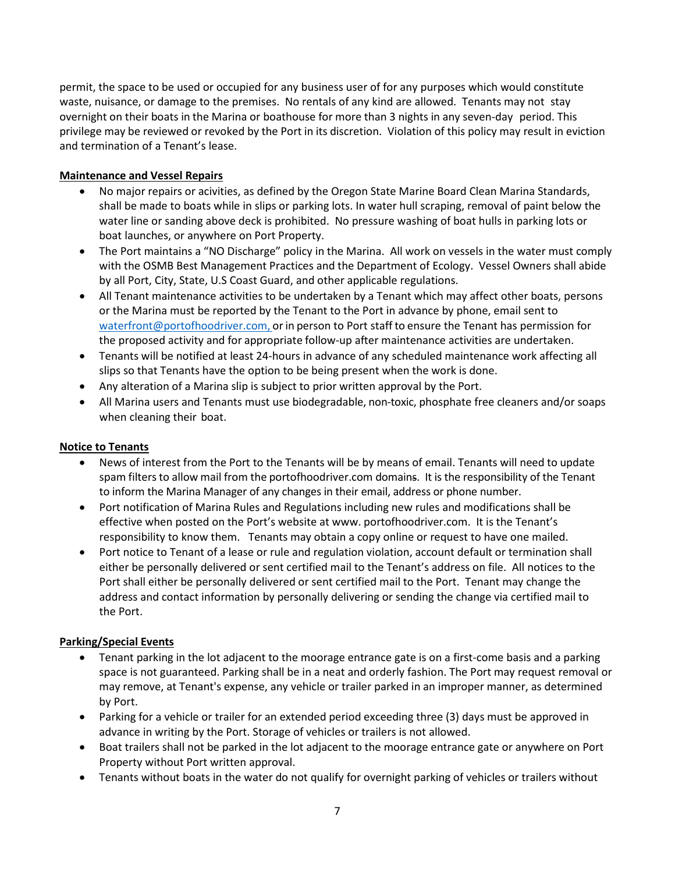permit, the space to be used or occupied for any business user of for any purposes which would constitute waste, nuisance, or damage to the premises. No rentals of any kind are allowed. Tenants may not stay overnight on their boats in the Marina or boathouse for more than 3 nights in any seven-day period. This privilege may be reviewed or revoked by the Port in its discretion. Violation of this policy may result in eviction and termination of a Tenant's lease.

## **Maintenance and Vessel Repairs**

- No major repairs or acivities, as defined by the Oregon State Marine Board Clean Marina Standards, shall be made to boats while in slips or parking lots. In water hull scraping, removal of paint below the water line or sanding above deck is prohibited. No pressure washing of boat hulls in parking lots or boat launches, or anywhere on Port Property.
- The Port maintains a "NO Discharge" policy in the Marina. All work on vessels in the water must comply with the OSMB Best Management Practices and the Department of Ecology. Vessel Owners shall abide by all Port, City, State, U.S Coast Guard, and other applicable regulations.
- All Tenant maintenance activities to be undertaken by a Tenant which may affect other boats, persons or the Marina must be reported by the Tenant to the Port in advance by phone, email sent t[o](mailto:%20waterfront@portofhoodriver.com,) [waterfront@portofhoodriver.com,](mailto:%20waterfront@portofhoodriver.com,) or in person to Port staff to ensure the Tenant has permission for the proposed activity and for appropriate follow-up after maintenance activities are undertaken.
- Tenants will be notified at least 24-hours in advance of any scheduled maintenance work affecting all slips so that Tenants have the option to be being present when the work is done.
- Any alteration of a Marina slip is subject to prior written approval by the Port.
- All Marina users and Tenants must use biodegradable, non-toxic, phosphate free cleaners and/or soaps when cleaning their boat.

### **Notice to Tenants**

- News of interest from the Port to the Tenants will be by means of email. Tenants will need to update spam filtersto allow mail from the portofhoodriver.com domains. It is the responsibility of the Tenant to inform the Marina Manager of any changes in their email, address or phone number.
- Port notification of Marina Rules and Regulations including new rules and modifications shall be effective when posted on the Port's website at www. portofhoodriver.com. It is the Tenant's responsibility to know them. Tenants may obtain a copy online or request to have one mailed.
- Port notice to Tenant of a lease or rule and regulation violation, account default or termination shall either be personally delivered or sent certified mail to the Tenant's address on file. All notices to the Port shall either be personally delivered or sent certified mail to the Port. Tenant may change the address and contact information by personally delivering or sending the change via certified mail to the Port.

# **Parking/Special Events**

- Tenant parking in the lot adjacent to the moorage entrance gate is on a first-come basis and a parking space is not guaranteed. Parking shall be in a neat and orderly fashion. The Port may request removal or may remove, at Tenant's expense, any vehicle or trailer parked in an improper manner, as determined by Port.
- Parking for a vehicle or trailer for an extended period exceeding three (3) days must be approved in advance in writing by the Port. Storage of vehicles or trailers is not allowed.
- Boat trailers shall not be parked in the lot adjacent to the moorage entrance gate or anywhere on Port Property without Port written approval.
- Tenants without boats in the water do not qualify for overnight parking of vehicles or trailers without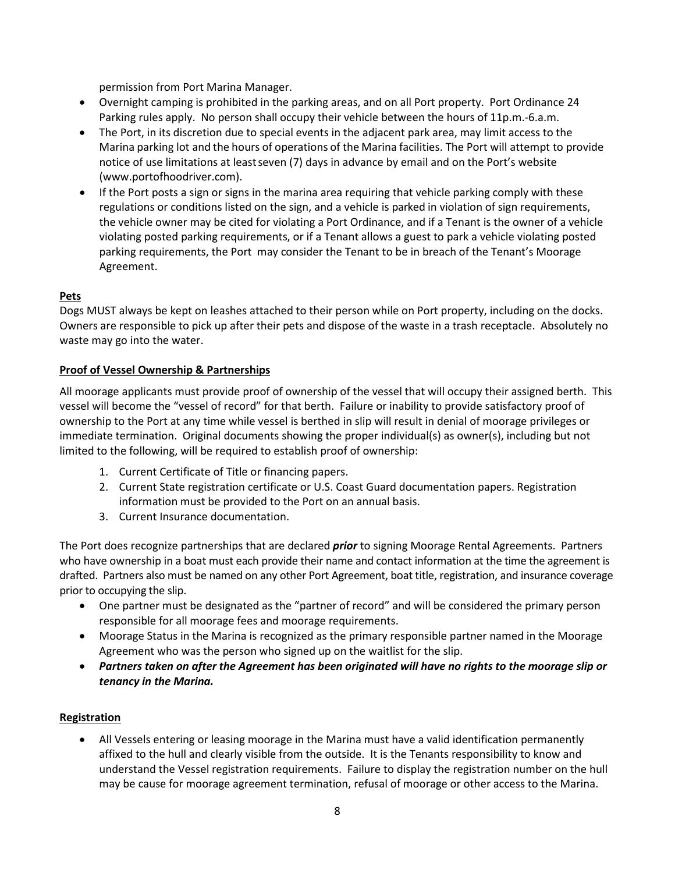permission from Port Marina Manager.

- Overnight camping is prohibited in the parking areas, and on all Port property. Port Ordinance 24 Parking rules apply. No person shall occupy their vehicle between the hours of 11p.m.-6.a.m.
- The Port, in its discretion due to special events in the adjacent park area, may limit access to the Marina parking lot and the hours of operations of the Marina facilities. The Port will attempt to provide notice of use limitations at leastseven (7) days in advance by email and on the Port's website [\(www.portofhoodriver.com\).](http://www.portofhoodriver.com/)
- If the Port posts a sign or signs in the marina area requiring that vehicle parking comply with these regulations or conditions listed on the sign, and a vehicle is parked in violation of sign requirements, the vehicle owner may be cited for violating a Port Ordinance, and if a Tenant is the owner of a vehicle violating posted parking requirements, or if a Tenant allows a guest to park a vehicle violating posted parking requirements, the Port may consider the Tenant to be in breach of the Tenant's Moorage Agreement.

## **Pets**

Dogs MUST always be kept on leashes attached to their person while on Port property, including on the docks. Owners are responsible to pick up after their pets and dispose of the waste in a trash receptacle. Absolutely no waste may go into the water.

## **Proof of Vessel Ownership & Partnerships**

All moorage applicants must provide proof of ownership of the vessel that will occupy their assigned berth. This vessel will become the "vessel of record" for that berth. Failure or inability to provide satisfactory proof of ownership to the Port at any time while vessel is berthed in slip will result in denial of moorage privileges or immediate termination. Original documents showing the proper individual(s) as owner(s), including but not limited to the following, will be required to establish proof of ownership:

- 1. Current Certificate of Title or financing papers.
- 2. Current State registration certificate or U.S. Coast Guard documentation papers. Registration information must be provided to the Port on an annual basis.
- 3. Current Insurance documentation.

The Port does recognize partnerships that are declared *prior* to signing Moorage Rental Agreements. Partners who have ownership in a boat must each provide their name and contact information at the time the agreement is drafted. Partners also must be named on any other Port Agreement, boat title, registration, and insurance coverage prior to occupying the slip.

- One partner must be designated as the "partner of record" and will be considered the primary person responsible for all moorage fees and moorage requirements.
- Moorage Status in the Marina is recognized as the primary responsible partner named in the Moorage Agreement who was the person who signed up on the waitlist for the slip.
- *Partners taken on after the Agreement has been originated will have no rights to the moorage slip or tenancy in the Marina.*

### **Registration**

• All Vessels entering or leasing moorage in the Marina must have a valid identification permanently affixed to the hull and clearly visible from the outside. It is the Tenants responsibility to know and understand the Vessel registration requirements. Failure to display the registration number on the hull may be cause for moorage agreement termination, refusal of moorage or other access to the Marina.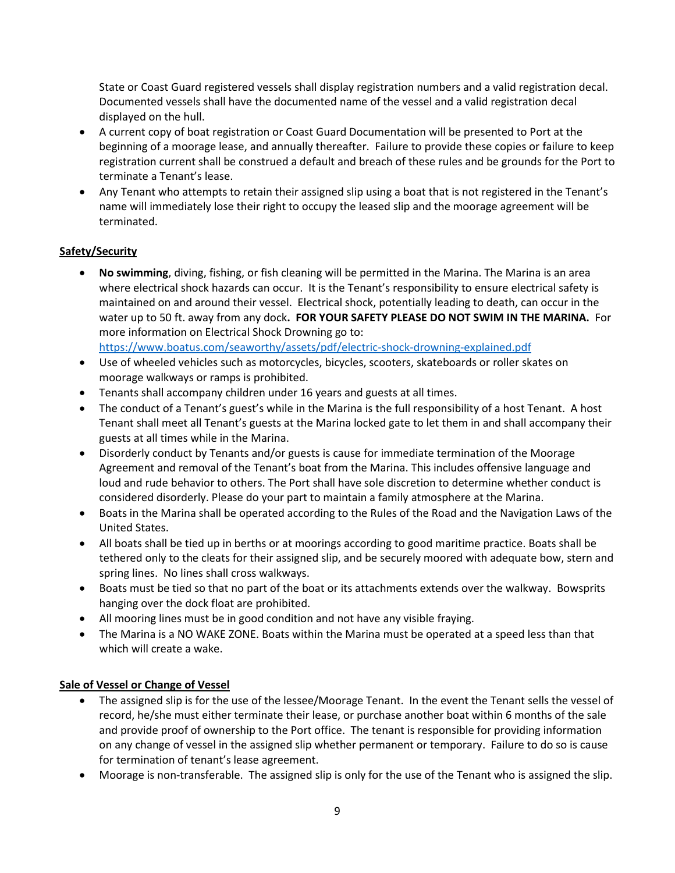State or Coast Guard registered vessels shall display registration numbers and a valid registration decal. Documented vessels shall have the documented name of the vessel and a valid registration decal displayed on the hull.

- A current copy of boat registration or Coast Guard Documentation will be presented to Port at the beginning of a moorage lease, and annually thereafter. Failure to provide these copies or failure to keep registration current shall be construed a default and breach of these rules and be grounds for the Port to terminate a Tenant's lease.
- Any Tenant who attempts to retain their assigned slip using a boat that is not registered in the Tenant's name will immediately lose their right to occupy the leased slip and the moorage agreement will be terminated.

# **Safety/Security**

• **No swimming**, diving, fishing, or fish cleaning will be permitted in the Marina. The Marina is an area where electrical shock hazards can occur. It is the Tenant's responsibility to ensure electrical safety is maintained on and around their vessel. Electrical shock, potentially leading to death, can occur in the water up to 50 ft. away from any dock**. FOR YOUR SAFETY PLEASE DO NOT SWIM IN THE MARINA.** For more information on Electrical Shock Drowning go to:

<https://www.boatus.com/seaworthy/assets/pdf/electric-shock-drowning-explained.pdf>

- Use of wheeled vehicles such as motorcycles, bicycles, scooters, skateboards or roller skates on moorage walkways or ramps is prohibited.
- Tenants shall accompany children under 16 years and guests at all times.
- The conduct of a Tenant's guest's while in the Marina is the full responsibility of a host Tenant. A host Tenant shall meet all Tenant's guests at the Marina locked gate to let them in and shall accompany their guests at all times while in the Marina.
- Disorderly conduct by Tenants and/or guests is cause for immediate termination of the Moorage Agreement and removal of the Tenant's boat from the Marina. This includes offensive language and loud and rude behavior to others. The Port shall have sole discretion to determine whether conduct is considered disorderly. Please do your part to maintain a family atmosphere at the Marina.
- Boats in the Marina shall be operated according to the Rules of the Road and the Navigation Laws of the United States.
- All boats shall be tied up in berths or at moorings according to good maritime practice. Boats shall be tethered only to the cleats for their assigned slip, and be securely moored with adequate bow, stern and spring lines. No lines shall cross walkways.
- Boats must be tied so that no part of the boat or its attachments extends over the walkway. Bowsprits hanging over the dock float are prohibited.
- All mooring lines must be in good condition and not have any visible fraying.
- The Marina is a NO WAKE ZONE. Boats within the Marina must be operated at a speed less than that which will create a wake.

# **Sale of Vessel or Change of Vessel**

- The assigned slip is for the use of the lessee/Moorage Tenant. In the event the Tenant sells the vessel of record, he/she must either terminate their lease, or purchase another boat within 6 months of the sale and provide proof of ownership to the Port office. The tenant is responsible for providing information on any change of vessel in the assigned slip whether permanent or temporary. Failure to do so is cause for termination of tenant's lease agreement.
- Moorage is non-transferable. The assigned slip is only for the use of the Tenant who is assigned the slip.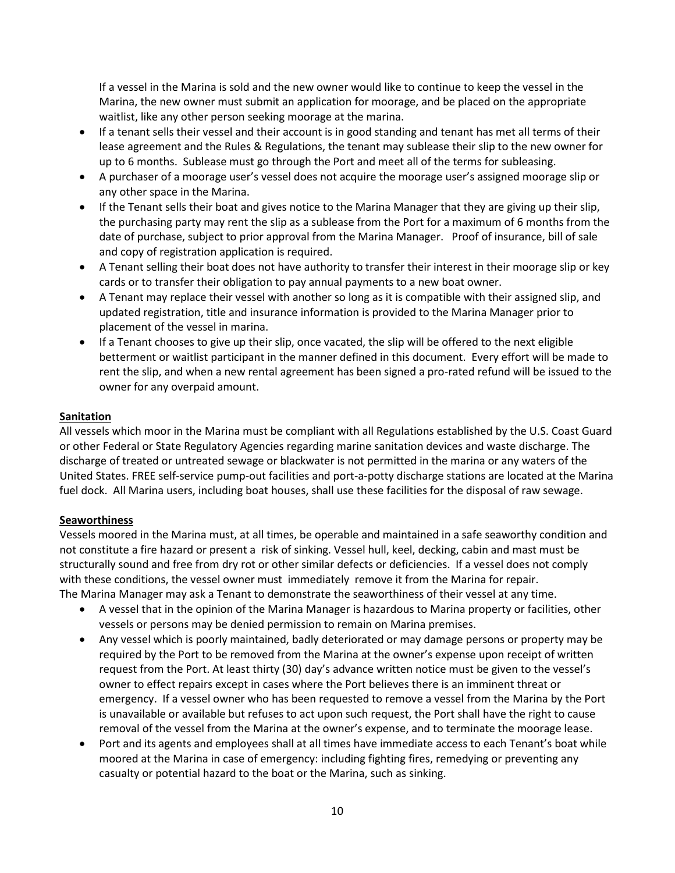If a vessel in the Marina is sold and the new owner would like to continue to keep the vessel in the Marina, the new owner must submit an application for moorage, and be placed on the appropriate waitlist, like any other person seeking moorage at the marina.

- If a tenant sells their vessel and their account is in good standing and tenant has met all terms of their lease agreement and the Rules & Regulations, the tenant may sublease their slip to the new owner for up to 6 months. Sublease must go through the Port and meet all of the terms for subleasing.
- A purchaser of a moorage user's vessel does not acquire the moorage user's assigned moorage slip or any other space in the Marina.
- If the Tenant sells their boat and gives notice to the Marina Manager that they are giving up their slip, the purchasing party may rent the slip as a sublease from the Port for a maximum of 6 months from the date of purchase, subject to prior approval from the Marina Manager. Proof of insurance, bill of sale and copy of registration application is required.
- A Tenant selling their boat does not have authority to transfer their interest in their moorage slip or key cards or to transfer their obligation to pay annual payments to a new boat owner.
- A Tenant may replace their vessel with another so long as it is compatible with their assigned slip, and updated registration, title and insurance information is provided to the Marina Manager prior to placement of the vessel in marina.
- If a Tenant chooses to give up their slip, once vacated, the slip will be offered to the next eligible betterment or waitlist participant in the manner defined in this document. Every effort will be made to rent the slip, and when a new rental agreement has been signed a pro-rated refund will be issued to the owner for any overpaid amount.

## **Sanitation**

All vessels which moor in the Marina must be compliant with all Regulations established by the U.S. Coast Guard or other Federal or State Regulatory Agencies regarding marine sanitation devices and waste discharge. The discharge of treated or untreated sewage or blackwater is not permitted in the marina or any waters of the United States. FREE self-service pump-out facilities and port-a-potty discharge stations are located at the Marina fuel dock. All Marina users, including boat houses, shall use these facilities for the disposal of raw sewage.

### **Seaworthiness**

Vessels moored in the Marina must, at all times, be operable and maintained in a safe seaworthy condition and not constitute a fire hazard or present a risk of sinking. Vessel hull, keel, decking, cabin and mast must be structurally sound and free from dry rot or other similar defects or deficiencies. If a vessel does not comply with these conditions, the vessel owner must immediately remove it from the Marina for repair. The Marina Manager may ask a Tenant to demonstrate the seaworthiness of their vessel at any time.

- A vessel that in the opinion of the Marina Manager is hazardous to Marina property or facilities, other vessels or persons may be denied permission to remain on Marina premises.
- Any vessel which is poorly maintained, badly deteriorated or may damage persons or property may be required by the Port to be removed from the Marina at the owner's expense upon receipt of written request from the Port. At least thirty (30) day's advance written notice must be given to the vessel's owner to effect repairs except in cases where the Port believes there is an imminent threat or emergency. If a vessel owner who has been requested to remove a vessel from the Marina by the Port is unavailable or available but refuses to act upon such request, the Port shall have the right to cause removal of the vessel from the Marina at the owner's expense, and to terminate the moorage lease.
- Port and its agents and employees shall at all times have immediate access to each Tenant's boat while moored at the Marina in case of emergency: including fighting fires, remedying or preventing any casualty or potential hazard to the boat or the Marina, such as sinking.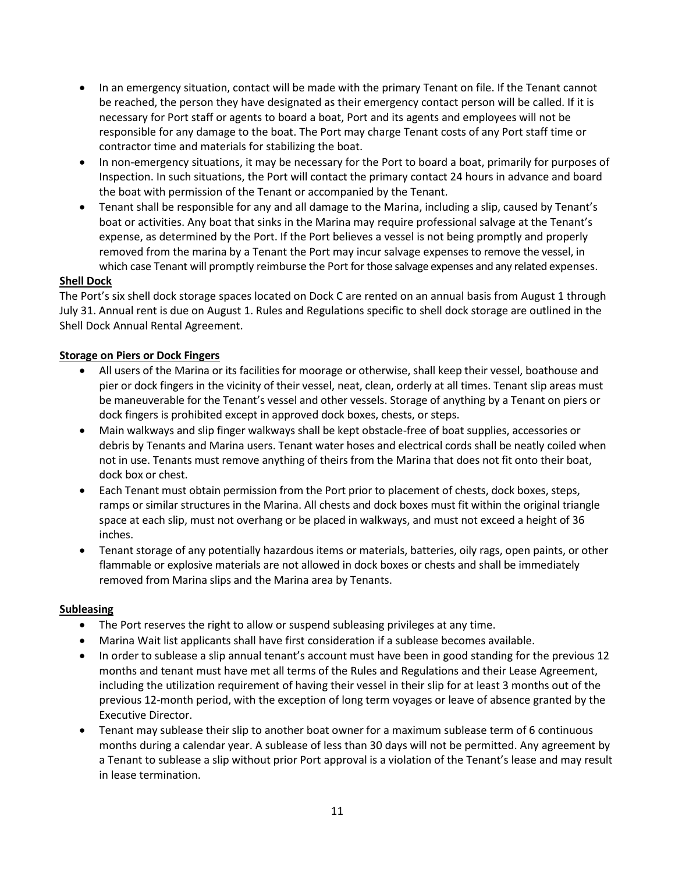- In an emergency situation, contact will be made with the primary Tenant on file. If the Tenant cannot be reached, the person they have designated as their emergency contact person will be called. If it is necessary for Port staff or agents to board a boat, Port and its agents and employees will not be responsible for any damage to the boat. The Port may charge Tenant costs of any Port staff time or contractor time and materials for stabilizing the boat.
- In non-emergency situations, it may be necessary for the Port to board a boat, primarily for purposes of Inspection. In such situations, the Port will contact the primary contact 24 hours in advance and board the boat with permission of the Tenant or accompanied by the Tenant.
- Tenant shall be responsible for any and all damage to the Marina, including a slip, caused by Tenant's boat or activities. Any boat that sinks in the Marina may require professional salvage at the Tenant's expense, as determined by the Port. If the Port believes a vessel is not being promptly and properly removed from the marina by a Tenant the Port may incur salvage expenses to remove the vessel, in which case Tenant will promptly reimburse the Port for those salvage expenses and any related expenses.

### **Shell Dock**

The Port's six shell dock storage spaces located on Dock C are rented on an annual basis from August 1 through July 31. Annual rent is due on August 1. Rules and Regulations specific to shell dock storage are outlined in the Shell Dock Annual Rental Agreement.

### **Storage on Piers or Dock Fingers**

- All users of the Marina or its facilities for moorage or otherwise, shall keep their vessel, boathouse and pier or dock fingers in the vicinity of their vessel, neat, clean, orderly at all times. Tenant slip areas must be maneuverable for the Tenant's vessel and other vessels. Storage of anything by a Tenant on piers or dock fingers is prohibited except in approved dock boxes, chests, or steps.
- Main walkways and slip finger walkways shall be kept obstacle-free of boat supplies, accessories or debris by Tenants and Marina users. Tenant water hoses and electrical cords shall be neatly coiled when not in use. Tenants must remove anything of theirs from the Marina that does not fit onto their boat, dock box or chest.
- Each Tenant must obtain permission from the Port prior to placement of chests, dock boxes, steps, ramps or similar structures in the Marina. All chests and dock boxes must fit within the original triangle space at each slip, must not overhang or be placed in walkways, and must not exceed a height of 36 inches.
- Tenant storage of any potentially hazardous items or materials, batteries, oily rags, open paints, or other flammable or explosive materials are not allowed in dock boxes or chests and shall be immediately removed from Marina slips and the Marina area by Tenants.

### **Subleasing**

- The Port reserves the right to allow or suspend subleasing privileges at any time.
- Marina Wait list applicants shall have first consideration if a sublease becomes available.
- In order to sublease a slip annual tenant's account must have been in good standing for the previous 12 months and tenant must have met all terms of the Rules and Regulations and their Lease Agreement, including the utilization requirement of having their vessel in their slip for at least 3 months out of the previous 12-month period, with the exception of long term voyages or leave of absence granted by the Executive Director.
- Tenant may sublease their slip to another boat owner for a maximum sublease term of 6 continuous months during a calendar year. A sublease of less than 30 days will not be permitted. Any agreement by a Tenant to sublease a slip without prior Port approval is a violation of the Tenant's lease and may result in lease termination.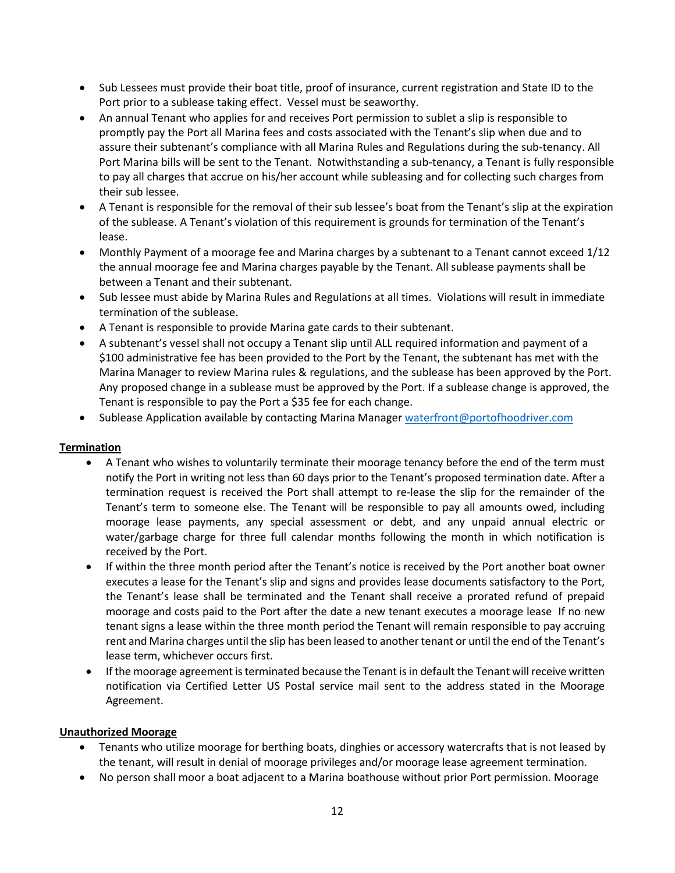- Sub Lessees must provide their boat title, proof of insurance, current registration and State ID to the Port prior to a sublease taking effect. Vessel must be seaworthy.
- An annual Tenant who applies for and receives Port permission to sublet a slip is responsible to promptly pay the Port all Marina fees and costs associated with the Tenant's slip when due and to assure their subtenant's compliance with all Marina Rules and Regulations during the sub-tenancy. All Port Marina bills will be sent to the Tenant. Notwithstanding a sub-tenancy, a Tenant is fully responsible to pay all charges that accrue on his/her account while subleasing and for collecting such charges from their sub lessee.
- A Tenant is responsible for the removal of their sub lessee's boat from the Tenant's slip at the expiration of the sublease. A Tenant's violation of this requirement is grounds for termination of the Tenant's lease.
- Monthly Payment of a moorage fee and Marina charges by a subtenant to a Tenant cannot exceed 1/12 the annual moorage fee and Marina charges payable by the Tenant. All sublease payments shall be between a Tenant and their subtenant.
- Sub lessee must abide by Marina Rules and Regulations at all times. Violations will result in immediate termination of the sublease.
- A Tenant is responsible to provide Marina gate cards to their subtenant.
- A subtenant's vessel shall not occupy a Tenant slip until ALL required information and payment of a \$100 administrative fee has been provided to the Port by the Tenant, the subtenant has met with the Marina Manager to review Marina rules & regulations, and the sublease has been approved by the Port. Any proposed change in a sublease must be approved by the Port. If a sublease change is approved, the Tenant is responsible to pay the Port a \$35 fee for each change.
- Sublease Application available by contacting Marina Manage[r waterfront@portofhoodriver.com](mailto:waterfront@portofhoodriver.com)

# **Termination**

- A Tenant who wishes to voluntarily terminate their moorage tenancy before the end of the term must notify the Port in writing not less than 60 days prior to the Tenant's proposed termination date. After a termination request is received the Port shall attempt to re-lease the slip for the remainder of the Tenant's term to someone else. The Tenant will be responsible to pay all amounts owed, including moorage lease payments, any special assessment or debt, and any unpaid annual electric or water/garbage charge for three full calendar months following the month in which notification is received by the Port.
- If within the three month period after the Tenant's notice is received by the Port another boat owner executes a lease for the Tenant's slip and signs and provides lease documents satisfactory to the Port, the Tenant's lease shall be terminated and the Tenant shall receive a prorated refund of prepaid moorage and costs paid to the Port after the date a new tenant executes a moorage lease If no new tenant signs a lease within the three month period the Tenant will remain responsible to pay accruing rent and Marina charges until the slip has been leased to another tenant or until the end of the Tenant's lease term, whichever occurs first.
- If the moorage agreement is terminated because the Tenant is in default the Tenant will receive written notification via Certified Letter US Postal service mail sent to the address stated in the Moorage Agreement.

### **Unauthorized Moorage**

- Tenants who utilize moorage for berthing boats, dinghies or accessory watercrafts that is not leased by the tenant, will result in denial of moorage privileges and/or moorage lease agreement termination.
- No person shall moor a boat adjacent to a Marina boathouse without prior Port permission. Moorage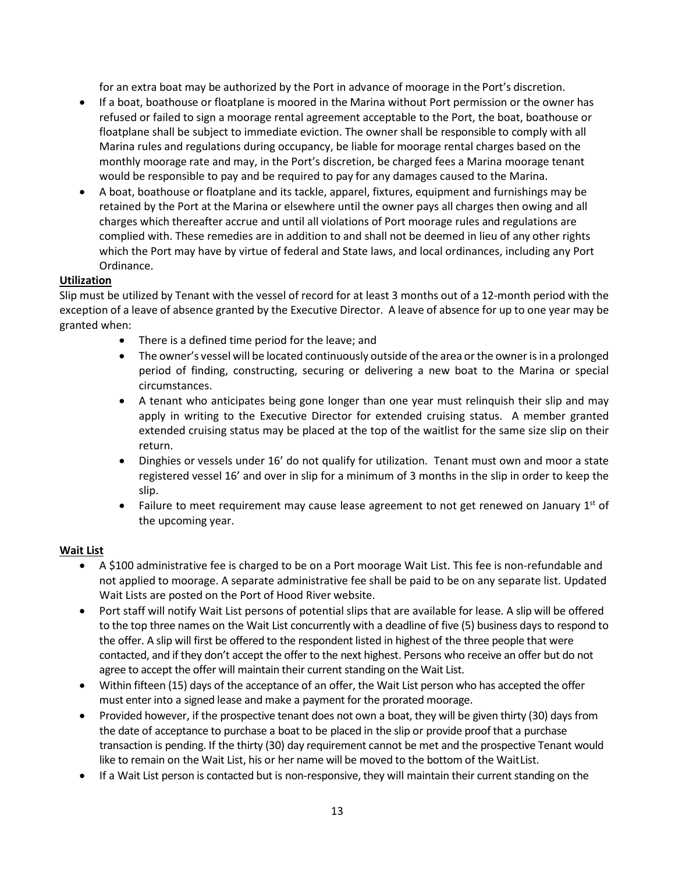for an extra boat may be authorized by the Port in advance of moorage in the Port's discretion.

- If a boat, boathouse or floatplane is moored in the Marina without Port permission or the owner has refused or failed to sign a moorage rental agreement acceptable to the Port, the boat, boathouse or floatplane shall be subject to immediate eviction. The owner shall be responsible to comply with all Marina rules and regulations during occupancy, be liable for moorage rental charges based on the monthly moorage rate and may, in the Port's discretion, be charged fees a Marina moorage tenant would be responsible to pay and be required to pay for any damages caused to the Marina.
- A boat, boathouse or floatplane and its tackle, apparel, fixtures, equipment and furnishings may be retained by the Port at the Marina or elsewhere until the owner pays all charges then owing and all charges which thereafter accrue and until all violations of Port moorage rules and regulations are complied with. These remedies are in addition to and shall not be deemed in lieu of any other rights which the Port may have by virtue of federal and State laws, and local ordinances, including any Port Ordinance.

# **Utilization**

Slip must be utilized by Tenant with the vessel of record for at least 3 months out of a 12-month period with the exception of a leave of absence granted by the Executive Director. A leave of absence for up to one year may be granted when:

- There is a defined time period for the leave; and
- The owner's vessel will be located continuously outside of the area or the owner is in a prolonged period of finding, constructing, securing or delivering a new boat to the Marina or special circumstances.
- A tenant who anticipates being gone longer than one year must relinquish their slip and may apply in writing to the Executive Director for extended cruising status. A member granted extended cruising status may be placed at the top of the waitlist for the same size slip on their return.
- Dinghies or vessels under 16' do not qualify for utilization. Tenant must own and moor a state registered vessel 16' and over in slip for a minimum of 3 months in the slip in order to keep the slip.
- Failure to meet requirement may cause lease agreement to not get renewed on January  $1^{st}$  of the upcoming year.

### **Wait List**

- A \$100 administrative fee is charged to be on a Port moorage Wait List. This fee is non-refundable and not applied to moorage. A separate administrative fee shall be paid to be on any separate list. Updated Wait Lists are posted on the Port of Hood River website.
- Port staff will notify Wait List persons of potential slips that are available for lease. A slip will be offered to the top three names on the Wait List concurrently with a deadline of five (5) business days to respond to the offer. A slip will first be offered to the respondent listed in highest of the three people that were contacted, and if they don't accept the offer to the next highest. Persons who receive an offer but do not agree to accept the offer will maintain their current standing on the Wait List.
- Within fifteen (15) days of the acceptance of an offer, the Wait List person who has accepted the offer must enter into a signed lease and make a payment for the prorated moorage.
- Provided however, if the prospective tenant does not own a boat, they will be given thirty (30) days from the date of acceptance to purchase a boat to be placed in the slip or provide proof that a purchase transaction is pending. If the thirty (30) day requirement cannot be met and the prospective Tenant would like to remain on the Wait List, his or her name will be moved to the bottom of the WaitList.
- If a Wait List person is contacted but is non-responsive, they will maintain their current standing on the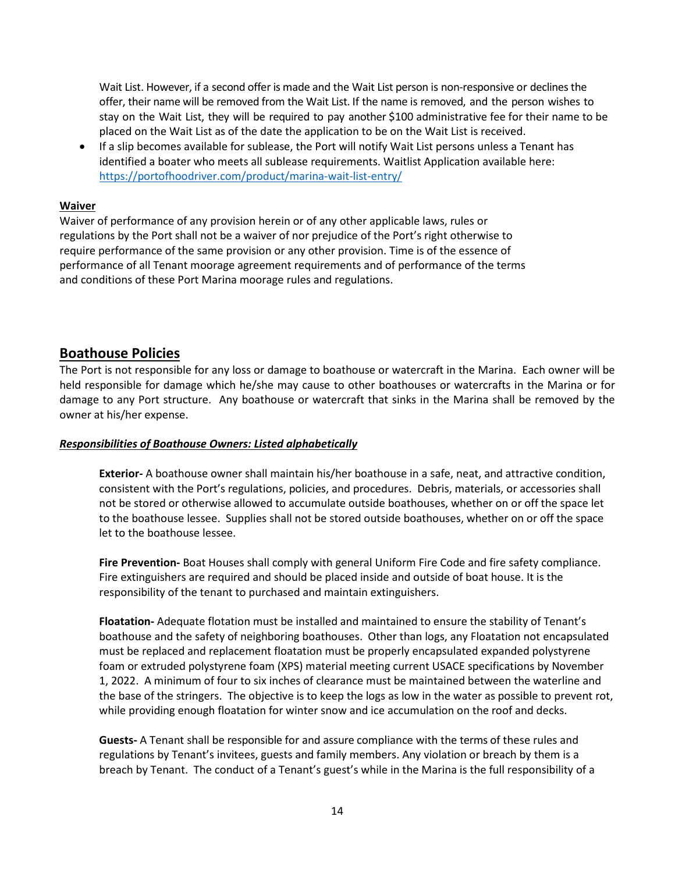Wait List. However, if a second offer is made and the Wait List person is non-responsive or declines the offer, their name will be removed from the Wait List. If the name is removed, and the person wishes to stay on the Wait List, they will be required to pay another \$100 administrative fee for their name to be placed on the Wait List as of the date the application to be on the Wait List is received.

• If a slip becomes available for sublease, the Port will notify Wait List persons unless a Tenant has identified a boater who meets all sublease requirements. Waitlist Application available here: <https://portofhoodriver.com/product/marina-wait-list-entry/>

#### **Waiver**

Waiver of performance of any provision herein or of any other applicable laws, rules or regulations by the Port shall not be a waiver of nor prejudice of the Port's right otherwise to require performance of the same provision or any other provision. Time is of the essence of performance of all Tenant moorage agreement requirements and of performance of the terms and conditions of these Port Marina moorage rules and regulations.

# **Boathouse Policies**

The Port is not responsible for any loss or damage to boathouse or watercraft in the Marina. Each owner will be held responsible for damage which he/she may cause to other boathouses or watercrafts in the Marina or for damage to any Port structure. Any boathouse or watercraft that sinks in the Marina shall be removed by the owner at his/her expense.

#### *Responsibilities of Boathouse Owners: Listed alphabetically*

**Exterior-** A boathouse owner shall maintain his/her boathouse in a safe, neat, and attractive condition, consistent with the Port's regulations, policies, and procedures. Debris, materials, or accessories shall not be stored or otherwise allowed to accumulate outside boathouses, whether on or off the space let to the boathouse lessee. Supplies shall not be stored outside boathouses, whether on or off the space let to the boathouse lessee.

**Fire Prevention-** Boat Houses shall comply with general Uniform Fire Code and fire safety compliance. Fire extinguishers are required and should be placed inside and outside of boat house. It is the responsibility of the tenant to purchased and maintain extinguishers.

**Floatation-** Adequate flotation must be installed and maintained to ensure the stability of Tenant's boathouse and the safety of neighboring boathouses. Other than logs, any Floatation not encapsulated must be replaced and replacement floatation must be properly encapsulated expanded polystyrene foam or extruded polystyrene foam (XPS) material meeting current USACE specifications by November 1, 2022. A minimum of four to six inches of clearance must be maintained between the waterline and the base of the stringers. The objective is to keep the logs as low in the water as possible to prevent rot, while providing enough floatation for winter snow and ice accumulation on the roof and decks.

**Guests-** A Tenant shall be responsible for and assure compliance with the terms of these rules and regulations by Tenant's invitees, guests and family members. Any violation or breach by them is a breach by Tenant. The conduct of a Tenant's guest's while in the Marina is the full responsibility of a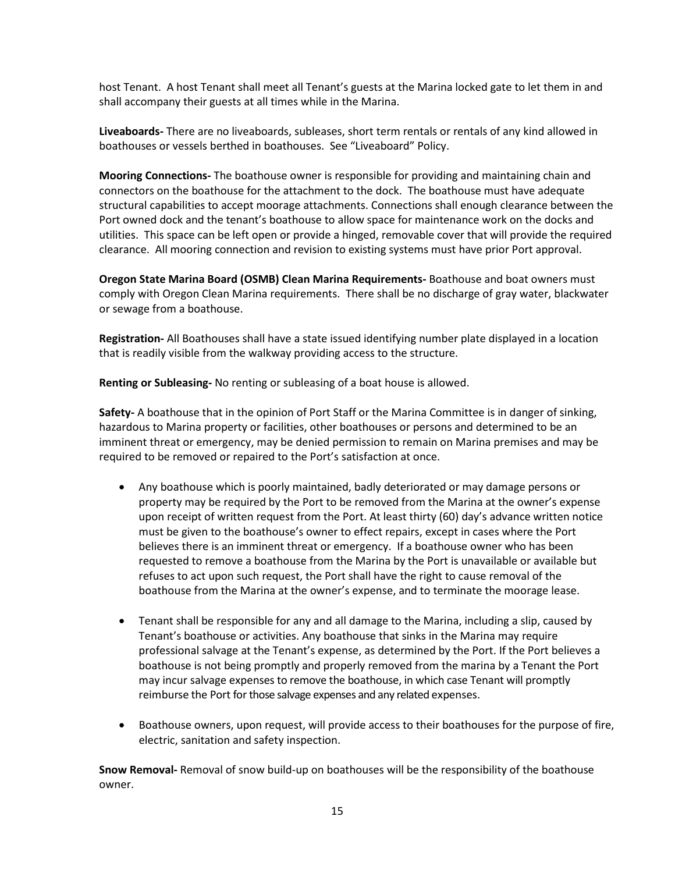host Tenant. A host Tenant shall meet all Tenant's guests at the Marina locked gate to let them in and shall accompany their guests at all times while in the Marina.

**Liveaboards-** There are no liveaboards, subleases, short term rentals or rentals of any kind allowed in boathouses or vessels berthed in boathouses. See "Liveaboard" Policy.

**Mooring Connections-** The boathouse owner is responsible for providing and maintaining chain and connectors on the boathouse for the attachment to the dock. The boathouse must have adequate structural capabilities to accept moorage attachments. Connections shall enough clearance between the Port owned dock and the tenant's boathouse to allow space for maintenance work on the docks and utilities. This space can be left open or provide a hinged, removable cover that will provide the required clearance. All mooring connection and revision to existing systems must have prior Port approval.

**Oregon State Marina Board (OSMB) Clean Marina Requirements-** Boathouse and boat owners must comply with Oregon Clean Marina requirements. There shall be no discharge of gray water, blackwater or sewage from a boathouse.

**Registration-** All Boathouses shall have a state issued identifying number plate displayed in a location that is readily visible from the walkway providing access to the structure.

**Renting or Subleasing-** No renting or subleasing of a boat house is allowed.

**Safety-** A boathouse that in the opinion of Port Staff or the Marina Committee is in danger of sinking, hazardous to Marina property or facilities, other boathouses or persons and determined to be an imminent threat or emergency, may be denied permission to remain on Marina premises and may be required to be removed or repaired to the Port's satisfaction at once.

- Any boathouse which is poorly maintained, badly deteriorated or may damage persons or property may be required by the Port to be removed from the Marina at the owner's expense upon receipt of written request from the Port. At least thirty (60) day's advance written notice must be given to the boathouse's owner to effect repairs, except in cases where the Port believes there is an imminent threat or emergency. If a boathouse owner who has been requested to remove a boathouse from the Marina by the Port is unavailable or available but refuses to act upon such request, the Port shall have the right to cause removal of the boathouse from the Marina at the owner's expense, and to terminate the moorage lease.
- Tenant shall be responsible for any and all damage to the Marina, including a slip, caused by Tenant's boathouse or activities. Any boathouse that sinks in the Marina may require professional salvage at the Tenant's expense, as determined by the Port. If the Port believes a boathouse is not being promptly and properly removed from the marina by a Tenant the Port may incur salvage expenses to remove the boathouse, in which case Tenant will promptly reimburse the Port for those salvage expenses and any related expenses.
- Boathouse owners, upon request, will provide access to their boathouses for the purpose of fire, electric, sanitation and safety inspection.

**Snow Removal-** Removal of snow build-up on boathouses will be the responsibility of the boathouse owner.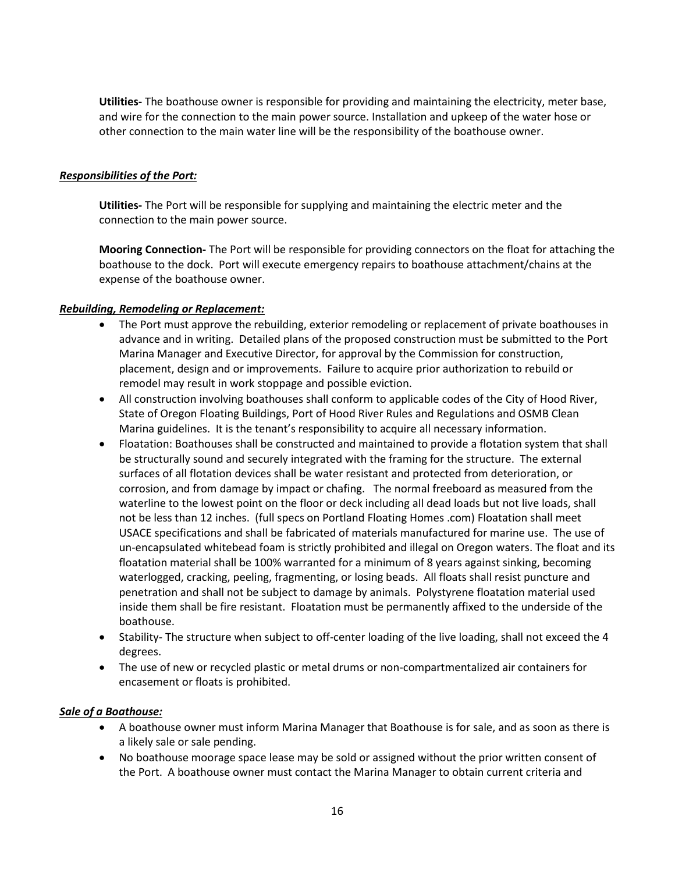**Utilities-** The boathouse owner is responsible for providing and maintaining the electricity, meter base, and wire for the connection to the main power source. Installation and upkeep of the water hose or other connection to the main water line will be the responsibility of the boathouse owner.

### *Responsibilities of the Port:*

**Utilities-** The Port will be responsible for supplying and maintaining the electric meter and the connection to the main power source.

**Mooring Connection-** The Port will be responsible for providing connectors on the float for attaching the boathouse to the dock. Port will execute emergency repairs to boathouse attachment/chains at the expense of the boathouse owner.

## *Rebuilding, Remodeling or Replacement:*

- The Port must approve the rebuilding, exterior remodeling or replacement of private boathouses in advance and in writing. Detailed plans of the proposed construction must be submitted to the Port Marina Manager and Executive Director, for approval by the Commission for construction, placement, design and or improvements. Failure to acquire prior authorization to rebuild or remodel may result in work stoppage and possible eviction.
- All construction involving boathouses shall conform to applicable codes of the City of Hood River, State of Oregon Floating Buildings, Port of Hood River Rules and Regulations and OSMB Clean Marina guidelines. It is the tenant's responsibility to acquire all necessary information.
- Floatation: Boathouses shall be constructed and maintained to provide a flotation system that shall be structurally sound and securely integrated with the framing for the structure. The external surfaces of all flotation devices shall be water resistant and protected from deterioration, or corrosion, and from damage by impact or chafing. The normal freeboard as measured from the waterline to the lowest point on the floor or deck including all dead loads but not live loads, shall not be less than 12 inches. (full specs on Portland Floating Homes .com) Floatation shall meet USACE specifications and shall be fabricated of materials manufactured for marine use. The use of un-encapsulated whitebead foam is strictly prohibited and illegal on Oregon waters. The float and its floatation material shall be 100% warranted for a minimum of 8 years against sinking, becoming waterlogged, cracking, peeling, fragmenting, or losing beads. All floats shall resist puncture and penetration and shall not be subject to damage by animals. Polystyrene floatation material used inside them shall be fire resistant. Floatation must be permanently affixed to the underside of the boathouse.
- Stability-The structure when subject to off-center loading of the live loading, shall not exceed the 4 degrees.
- The use of new or recycled plastic or metal drums or non-compartmentalized air containers for encasement or floats is prohibited.

### *Sale of a Boathouse:*

- A boathouse owner must inform Marina Manager that Boathouse is for sale, and as soon as there is a likely sale or sale pending.
- No boathouse moorage space lease may be sold or assigned without the prior written consent of the Port. A boathouse owner must contact the Marina Manager to obtain current criteria and